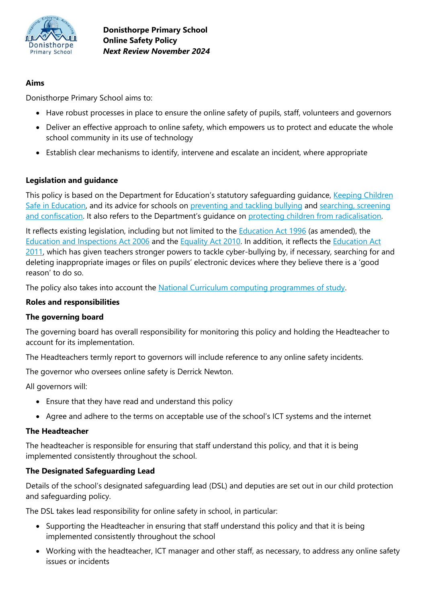

### **Aims**

Donisthorpe Primary School aims to:

- Have robust processes in place to ensure the online safety of pupils, staff, volunteers and governors
- Deliver an effective approach to online safety, which empowers us to protect and educate the whole school community in its use of technology
- Establish clear mechanisms to identify, intervene and escalate an incident, where appropriate

### **Legislation and guidance**

This policy is based on the Department for Education's statutory safeguarding guidance, Keeping Children [Safe in Education,](https://www.gov.uk/government/publications/keeping-children-safe-in-education--2) and its advice for schools on [preventing and tackling bullying](https://www.gov.uk/government/publications/preventing-and-tackling-bullying) and [searching, screening](https://www.gov.uk/government/publications/searching-screening-and-confiscation)  [and confiscation](https://www.gov.uk/government/publications/searching-screening-and-confiscation). It also refers to the Department's guidance on protecting children [from radicalisation.](https://www.gov.uk/government/publications/protecting-children-from-radicalisation-the-prevent-duty)

It reflects existing legislation, including but not limited to the **Education Act 1996** (as amended), the [Education and Inspections Act 2006](https://www.legislation.gov.uk/ukpga/2006/40/contents) and the [Equality Act 2010.](https://www.legislation.gov.uk/ukpga/2010/15/contents) In addition, it reflects the [Education Act](http://www.legislation.gov.uk/ukpga/2011/21/contents/enacted)  [2011,](http://www.legislation.gov.uk/ukpga/2011/21/contents/enacted) which has given teachers stronger powers to tackle cyber-bullying by, if necessary, searching for and deleting inappropriate images or files on pupils' electronic devices where they believe there is a 'good reason' to do so.

The policy also takes into account the [National Curriculum computing programmes of study.](https://www.gov.uk/government/publications/national-curriculum-in-england-computing-programmes-of-study)

### **Roles and responsibilities**

### **The governing board**

The governing board has overall responsibility for monitoring this policy and holding the Headteacher to account for its implementation.

The Headteachers termly report to governors will include reference to any online safety incidents.

The governor who oversees online safety is Derrick Newton.

All governors will:

- Ensure that they have read and understand this policy
- Agree and adhere to the terms on acceptable use of the school's ICT systems and the internet

### **The Headteacher**

The headteacher is responsible for ensuring that staff understand this policy, and that it is being implemented consistently throughout the school.

### **The Designated Safeguarding Lead**

Details of the school's designated safeguarding lead (DSL) and deputies are set out in our child protection and safeguarding policy.

The DSL takes lead responsibility for online safety in school, in particular:

- Supporting the Headteacher in ensuring that staff understand this policy and that it is being implemented consistently throughout the school
- Working with the headteacher, ICT manager and other staff, as necessary, to address any online safety issues or incidents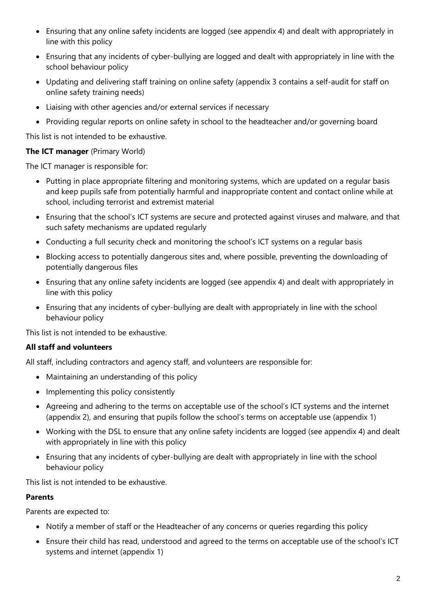- Ensuring that any online safety incidents are logged (see appendix 4) and dealt with appropriately in line with this policy
- Ensuring that any incidents of cyber-bullying are logged and dealt with appropriately in line with the school behaviour policy
- Updating and delivering staff training on online safety (appendix 3 contains a self-audit for staff on online safety training needs)
- Liaising with other agencies and/or external services if necessary
- Providing regular reports on online safety in school to the headteacher and/or governing board

This list is not intended to be exhaustive.

## **The ICT manager** (Primary World)

The ICT manager is responsible for:

- Putting in place appropriate filtering and monitoring systems, which are updated on a regular basis and keep pupils safe from potentially harmful and inappropriate content and contact online while at school, including terrorist and extremist material
- Ensuring that the school's ICT systems are secure and protected against viruses and malware, and that such safety mechanisms are updated regularly
- Conducting a full security check and monitoring the school's ICT systems on a regular basis
- Blocking access to potentially dangerous sites and, where possible, preventing the downloading of potentially dangerous files
- Ensuring that any online safety incidents are logged (see appendix 4) and dealt with appropriately in line with this policy
- Ensuring that any incidents of cyber-bullying are dealt with appropriately in line with the school behaviour policy

This list is not intended to be exhaustive.

# **All staff and volunteers**

All staff, including contractors and agency staff, and volunteers are responsible for:

- Maintaining an understanding of this policy
- Implementing this policy consistently
- Agreeing and adhering to the terms on acceptable use of the school's ICT systems and the internet (appendix 2), and ensuring that pupils follow the school's terms on acceptable use (appendix 1)
- Working with the DSL to ensure that any online safety incidents are logged (see appendix 4) and dealt with appropriately in line with this policy
- Ensuring that any incidents of cyber-bullying are dealt with appropriately in line with the school behaviour policy

This list is not intended to be exhaustive.

# **Parents**

Parents are expected to:

- Notify a member of staff or the Headteacher of any concerns or queries regarding this policy
- Ensure their child has read, understood and agreed to the terms on acceptable use of the school's ICT systems and internet (appendix 1)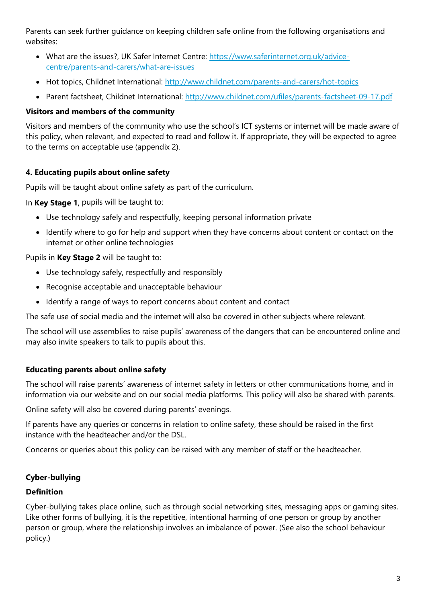Parents can seek further guidance on keeping children safe online from the following organisations and websites:

- What are the issues?, UK Safer Internet Centre: [https://www.saferinternet.org.uk/advice](https://www.saferinternet.org.uk/advice-centre/parents-and-carers/what-are-issues)[centre/parents-and-carers/what-are-issues](https://www.saferinternet.org.uk/advice-centre/parents-and-carers/what-are-issues)
- Hot topics, Childnet International:<http://www.childnet.com/parents-and-carers/hot-topics>
- Parent factsheet, Childnet International:<http://www.childnet.com/ufiles/parents-factsheet-09-17.pdf>

## **Visitors and members of the community**

Visitors and members of the community who use the school's ICT systems or internet will be made aware of this policy, when relevant, and expected to read and follow it. If appropriate, they will be expected to agree to the terms on acceptable use (appendix 2).

## **4. Educating pupils about online safety**

Pupils will be taught about online safety as part of the curriculum.

In **Key Stage 1**, pupils will be taught to:

- Use technology safely and respectfully, keeping personal information private
- Identify where to go for help and support when they have concerns about content or contact on the internet or other online technologies

## Pupils in **Key Stage 2** will be taught to:

- Use technology safely, respectfully and responsibly
- Recognise acceptable and unacceptable behaviour
- Identify a range of ways to report concerns about content and contact

The safe use of social media and the internet will also be covered in other subjects where relevant.

The school will use assemblies to raise pupils' awareness of the dangers that can be encountered online and may also invite speakers to talk to pupils about this.

## **Educating parents about online safety**

The school will raise parents' awareness of internet safety in letters or other communications home, and in information via our website and on our social media platforms. This policy will also be shared with parents.

Online safety will also be covered during parents' evenings.

If parents have any queries or concerns in relation to online safety, these should be raised in the first instance with the headteacher and/or the DSL.

Concerns or queries about this policy can be raised with any member of staff or the headteacher.

# **Cyber-bullying**

## **Definition**

Cyber-bullying takes place online, such as through social networking sites, messaging apps or gaming sites. Like other forms of bullying, it is the repetitive, intentional harming of one person or group by another person or group, where the relationship involves an imbalance of power. (See also the school behaviour policy.)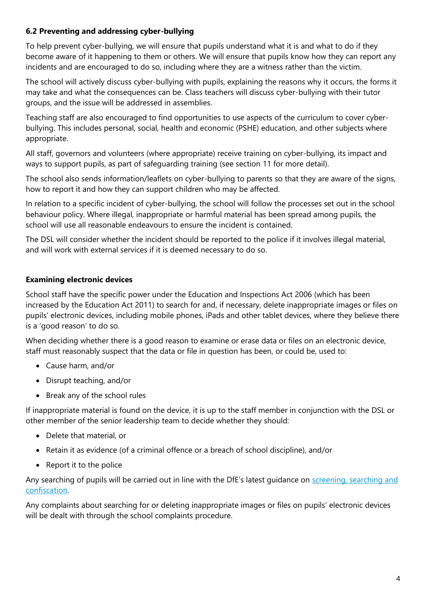## **6.2 Preventing and addressing cyber-bullying**

To help prevent cyber-bullying, we will ensure that pupils understand what it is and what to do if they become aware of it happening to them or others. We will ensure that pupils know how they can report any incidents and are encouraged to do so, including where they are a witness rather than the victim.

The school will actively discuss cyber-bullying with pupils, explaining the reasons why it occurs, the forms it may take and what the consequences can be. Class teachers will discuss cyber-bullying with their tutor groups, and the issue will be addressed in assemblies.

Teaching staff are also encouraged to find opportunities to use aspects of the curriculum to cover cyberbullying. This includes personal, social, health and economic (PSHE) education, and other subjects where appropriate.

All staff, governors and volunteers (where appropriate) receive training on cyber-bullying, its impact and ways to support pupils, as part of safeguarding training (see section 11 for more detail).

The school also sends information/leaflets on cyber-bullying to parents so that they are aware of the signs, how to report it and how they can support children who may be affected.

In relation to a specific incident of cyber-bullying, the school will follow the processes set out in the school behaviour policy. Where illegal, inappropriate or harmful material has been spread among pupils, the school will use all reasonable endeavours to ensure the incident is contained.

The DSL will consider whether the incident should be reported to the police if it involves illegal material, and will work with external services if it is deemed necessary to do so.

### **Examining electronic devices**

School staff have the specific power under the Education and Inspections Act 2006 (which has been increased by the Education Act 2011) to search for and, if necessary, delete inappropriate images or files on pupils' electronic devices, including mobile phones, iPads and other tablet devices, where they believe there is a 'good reason' to do so.

When deciding whether there is a good reason to examine or erase data or files on an electronic device, staff must reasonably suspect that the data or file in question has been, or could be, used to:

- Cause harm, and/or
- Disrupt teaching, and/or
- Break any of the school rules

If inappropriate material is found on the device, it is up to the staff member in conjunction with the DSL or other member of the senior leadership team to decide whether they should:

- Delete that material, or
- Retain it as evidence (of a criminal offence or a breach of school discipline), and/or
- Report it to the police

Any searching of pupils will be carried out in line with the DfE's latest guidance on screening, searching and [confiscation.](https://www.gov.uk/government/publications/searching-screening-and-confiscation)

Any complaints about searching for or deleting inappropriate images or files on pupils' electronic devices will be dealt with through the school complaints procedure.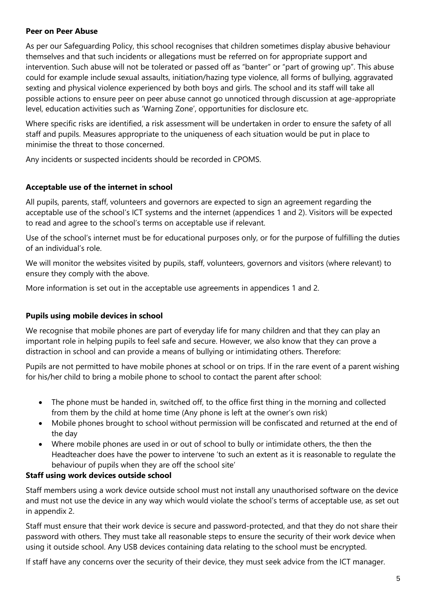### **Peer on Peer Abuse**

As per our Safeguarding Policy, this school recognises that children sometimes display abusive behaviour themselves and that such incidents or allegations must be referred on for appropriate support and intervention. Such abuse will not be tolerated or passed off as "banter" or "part of growing up". This abuse could for example include sexual assaults, initiation/hazing type violence, all forms of bullying, aggravated sexting and physical violence experienced by both boys and girls. The school and its staff will take all possible actions to ensure peer on peer abuse cannot go unnoticed through discussion at age-appropriate level, education activities such as 'Warning Zone', opportunities for disclosure etc.

Where specific risks are identified, a risk assessment will be undertaken in order to ensure the safety of all staff and pupils. Measures appropriate to the uniqueness of each situation would be put in place to minimise the threat to those concerned.

Any incidents or suspected incidents should be recorded in CPOMS.

### **Acceptable use of the internet in school**

All pupils, parents, staff, volunteers and governors are expected to sign an agreement regarding the acceptable use of the school's ICT systems and the internet (appendices 1 and 2). Visitors will be expected to read and agree to the school's terms on acceptable use if relevant.

Use of the school's internet must be for educational purposes only, or for the purpose of fulfilling the duties of an individual's role.

We will monitor the websites visited by pupils, staff, volunteers, governors and visitors (where relevant) to ensure they comply with the above.

More information is set out in the acceptable use agreements in appendices 1 and 2.

### **Pupils using mobile devices in school**

We recognise that mobile phones are part of everyday life for many children and that they can play an important role in helping pupils to feel safe and secure. However, we also know that they can prove a distraction in school and can provide a means of bullying or intimidating others. Therefore:

Pupils are not permitted to have mobile phones at school or on trips. If in the rare event of a parent wishing for his/her child to bring a mobile phone to school to contact the parent after school:

- The phone must be handed in, switched off, to the office first thing in the morning and collected from them by the child at home time (Any phone is left at the owner's own risk)
- Mobile phones brought to school without permission will be confiscated and returned at the end of the day
- Where mobile phones are used in or out of school to bully or intimidate others, the then the Headteacher does have the power to intervene 'to such an extent as it is reasonable to regulate the behaviour of pupils when they are off the school site'

### **Staff using work devices outside school**

Staff members using a work device outside school must not install any unauthorised software on the device and must not use the device in any way which would violate the school's terms of acceptable use, as set out in appendix 2.

Staff must ensure that their work device is secure and password-protected, and that they do not share their password with others. They must take all reasonable steps to ensure the security of their work device when using it outside school. Any USB devices containing data relating to the school must be encrypted.

If staff have any concerns over the security of their device, they must seek advice from the ICT manager.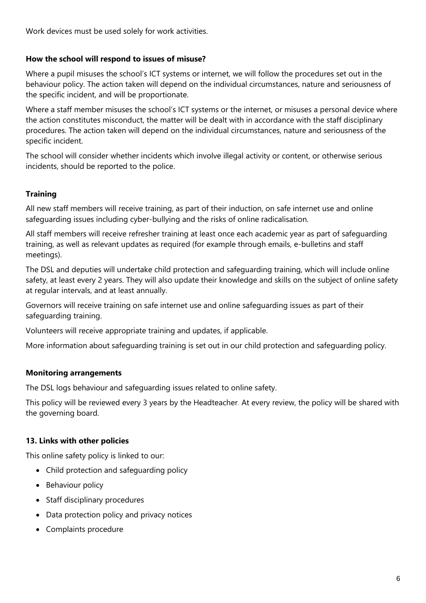Work devices must be used solely for work activities.

### **How the school will respond to issues of misuse?**

Where a pupil misuses the school's ICT systems or internet, we will follow the procedures set out in the behaviour policy. The action taken will depend on the individual circumstances, nature and seriousness of the specific incident, and will be proportionate.

Where a staff member misuses the school's ICT systems or the internet, or misuses a personal device where the action constitutes misconduct, the matter will be dealt with in accordance with the staff disciplinary procedures. The action taken will depend on the individual circumstances, nature and seriousness of the specific incident.

The school will consider whether incidents which involve illegal activity or content, or otherwise serious incidents, should be reported to the police.

## **Training**

All new staff members will receive training, as part of their induction, on safe internet use and online safeguarding issues including cyber-bullying and the risks of online radicalisation.

All staff members will receive refresher training at least once each academic year as part of safeguarding training, as well as relevant updates as required (for example through emails, e-bulletins and staff meetings).

The DSL and deputies will undertake child protection and safeguarding training, which will include online safety, at least every 2 years. They will also update their knowledge and skills on the subject of online safety at regular intervals, and at least annually.

Governors will receive training on safe internet use and online safeguarding issues as part of their safeguarding training.

Volunteers will receive appropriate training and updates, if applicable.

More information about safeguarding training is set out in our child protection and safeguarding policy.

### **Monitoring arrangements**

The DSL logs behaviour and safeguarding issues related to online safety.

This policy will be reviewed every 3 years by the Headteacher. At every review, the policy will be shared with the governing board.

### **13. Links with other policies**

This online safety policy is linked to our:

- Child protection and safeguarding policy
- Behaviour policy
- Staff disciplinary procedures
- Data protection policy and privacy notices
- Complaints procedure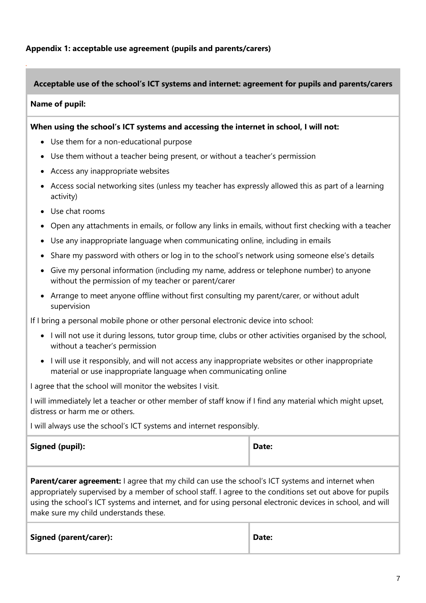### **Appendix 1: acceptable use agreement (pupils and parents/carers)**

#### **Acceptable use of the school's ICT systems and internet: agreement for pupils and parents/carers**

#### **Name of pupil:**

*.*

#### **When using the school's ICT systems and accessing the internet in school, I will not:**

- Use them for a non-educational purpose
- Use them without a teacher being present, or without a teacher's permission
- Access any inappropriate websites
- Access social networking sites (unless my teacher has expressly allowed this as part of a learning activity)
- Use chat rooms
- Open any attachments in emails, or follow any links in emails, without first checking with a teacher
- Use any inappropriate language when communicating online, including in emails
- Share my password with others or log in to the school's network using someone else's details
- Give my personal information (including my name, address or telephone number) to anyone without the permission of my teacher or parent/carer
- Arrange to meet anyone offline without first consulting my parent/carer, or without adult supervision

If I bring a personal mobile phone or other personal electronic device into school:

- I will not use it during lessons, tutor group time, clubs or other activities organised by the school, without a teacher's permission
- I will use it responsibly, and will not access any inappropriate websites or other inappropriate material or use inappropriate language when communicating online

I agree that the school will monitor the websites I visit.

I will immediately let a teacher or other member of staff know if I find any material which might upset, distress or harm me or others.

I will always use the school's ICT systems and internet responsibly.

| <b>Signed (pupil):</b> | Date: |
|------------------------|-------|
|------------------------|-------|

| ۰.<br>۰.<br>v. |
|----------------|
|----------------|

**Parent/carer agreement:** I agree that my child can use the school's ICT systems and internet when appropriately supervised by a member of school staff. I agree to the conditions set out above for pupils using the school's ICT systems and internet, and for using personal electronic devices in school, and will make sure my child understands these.

| <b>Signed (parent/carer):</b> | Date: |
|-------------------------------|-------|
|-------------------------------|-------|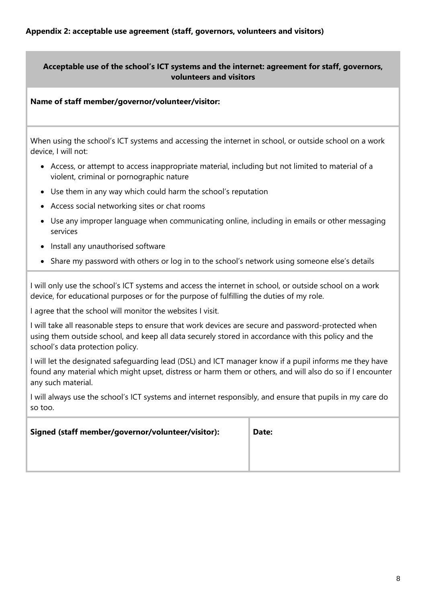## **Acceptable use of the school's ICT systems and the internet: agreement for staff, governors, volunteers and visitors**

### **Name of staff member/governor/volunteer/visitor:**

When using the school's ICT systems and accessing the internet in school, or outside school on a work device, I will not:

- Access, or attempt to access inappropriate material, including but not limited to material of a violent, criminal or pornographic nature
- Use them in any way which could harm the school's reputation
- Access social networking sites or chat rooms
- Use any improper language when communicating online, including in emails or other messaging services
- Install any unauthorised software
- Share my password with others or log in to the school's network using someone else's details

I will only use the school's ICT systems and access the internet in school, or outside school on a work device, for educational purposes or for the purpose of fulfilling the duties of my role.

I agree that the school will monitor the websites I visit.

I will take all reasonable steps to ensure that work devices are secure and password-protected when using them outside school, and keep all data securely stored in accordance with this policy and the school's data protection policy.

I will let the designated safeguarding lead (DSL) and ICT manager know if a pupil informs me they have found any material which might upset, distress or harm them or others, and will also do so if I encounter any such material.

I will always use the school's ICT systems and internet responsibly, and ensure that pupils in my care do so too.

| Signed (staff member/governor/volunteer/visitor): | Date: |
|---------------------------------------------------|-------|
|                                                   |       |